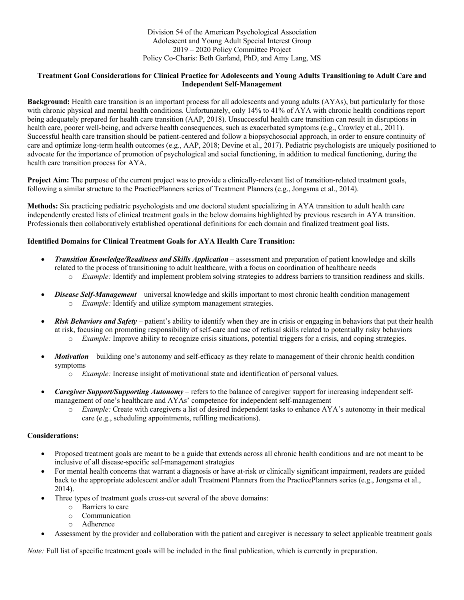## **Treatment Goal Considerations for Clinical Practice for Adolescents and Young Adults Transitioning to Adult Care and Independent Self-Management**

**Background:** Health care transition is an important process for all adolescents and young adults (AYAs), but particularly for those with chronic physical and mental health conditions. Unfortunately, only 14% to 41% of AYA with chronic health conditions report being adequately prepared for health care transition (AAP, 2018). Unsuccessful health care transition can result in disruptions in health care, poorer well-being, and adverse health consequences, such as exacerbated symptoms (e.g., Crowley et al., 2011). Successful health care transition should be patient-centered and follow a biopsychosocial approach, in order to ensure continuity of care and optimize long-term health outcomes (e.g., AAP, 2018; Devine et al., 2017). Pediatric psychologists are uniquely positioned to advocate for the importance of promotion of psychological and social functioning, in addition to medical functioning, during the health care transition process for AYA.

**Project Aim:** The purpose of the current project was to provide a clinically-relevant list of transition-related treatment goals, following a similar structure to the PracticePlanners series of Treatment Planners (e.g., Jongsma et al., 2014).

**Methods:** Six practicing pediatric psychologists and one doctoral student specializing in AYA transition to adult health care independently created lists of clinical treatment goals in the below domains highlighted by previous research in AYA transition. Professionals then collaboratively established operational definitions for each domain and finalized treatment goal lists.

## **Identified Domains for Clinical Treatment Goals for AYA Health Care Transition:**

- *Transition Knowledge/Readiness and Skills Application* assessment and preparation of patient knowledge and skills related to the process of transitioning to adult healthcare, with a focus on coordination of healthcare needs o *Example:* Identify and implement problem solving strategies to address barriers to transition readiness and skills.
	-
- *Disease Self-Management* universal knowledge and skills important to most chronic health condition management o *Example:* Identify and utilize symptom management strategies.
- *Risk Behaviors and Safety* patient's ability to identify when they are in crisis or engaging in behaviors that put their health at risk, focusing on promoting responsibility of self-care and use of refusal skills related to potentially risky behaviors
	- o *Example:* Improve ability to recognize crisis situations, potential triggers for a crisis, and coping strategies.
- *Motivation* building one's autonomy and self-efficacy as they relate to management of their chronic health condition symptoms
	- o *Example:* Increase insight of motivational state and identification of personal values.
- *Caregiver Support/Supporting Autonomy* refers to the balance of caregiver support for increasing independent selfmanagement of one's healthcare and AYAs' competence for independent self-management
	- o *Example:* Create with caregivers a list of desired independent tasks to enhance AYA's autonomy in their medical care (e.g., scheduling appointments, refilling medications).

## **Considerations:**

- Proposed treatment goals are meant to be a guide that extends across all chronic health conditions and are not meant to be inclusive of all disease-specific self-management strategies
- For mental health concerns that warrant a diagnosis or have at-risk or clinically significant impairment, readers are guided back to the appropriate adolescent and/or adult Treatment Planners from the PracticePlanners series (e.g., Jongsma et al., 2014).
- Three types of treatment goals cross-cut several of the above domains:
	- o Barriers to care
	- o Communication
	- o Adherence
- Assessment by the provider and collaboration with the patient and caregiver is necessary to select applicable treatment goals

*Note:* Full list of specific treatment goals will be included in the final publication, which is currently in preparation.